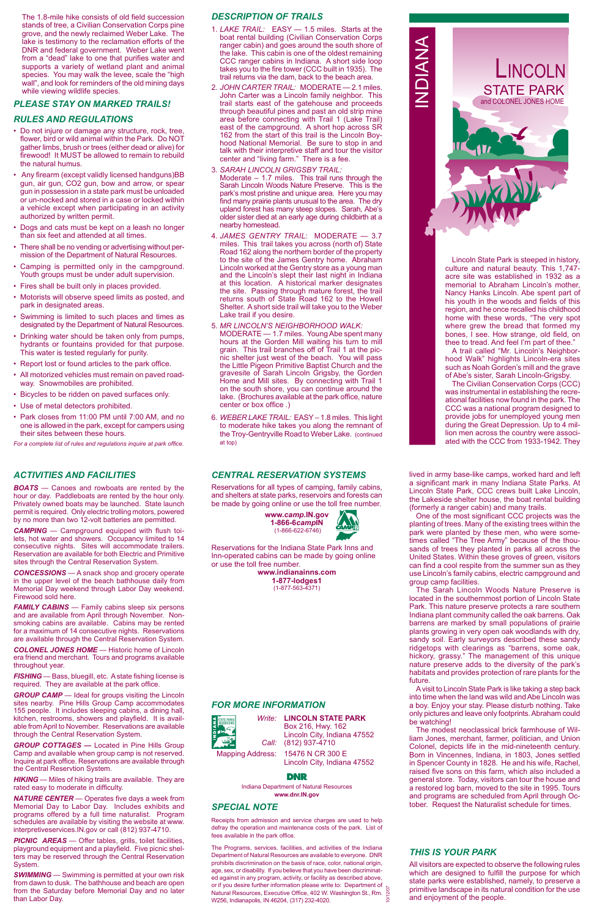# *CENTRAL RESERVATION SYSTEMS*

Reservations for all types of camping, family cabins, and shelters at state parks, reservoirs and forests can be made by going online or use the toll free number.

Reservations for the Indiana State Park Inns and Inn-operated cabins can be made by going online or use the toll free number.

> **www.indianainns.com 1-877-lodges1** (1-877-563-4371)

# *SPECIAL NOTE*

Receipts from admission and service charges are used to help defray the operation and maintenance costs of the park. List of fees available in the park office.

The Programs, services. facilities, and activities of the Indiana Department of Natural Resources are available to everyone. DNR prohibits discrimination on the basis of race, color, national origin, age, sex, or disability. If you believe that you have been discriminated against in any program, activity, or facility as described above, or if you desire further information please write to: Department of or in you desire function information piease which of Department of the Natural Resources, Executive Office, 402 W. Washington St., Rm.  $\frac{55}{9}$ <br>W256, Indianapolis, IN 46204, (317) 232-4020. W256, Indianapolis, IN 46204, (317) 232-4020.

## *THIS IS YOUR PARK*

All visitors are expected to observe the following rules which are designed to fulfill the purpose for which state parks were established, namely, to preserve a primitive landscape in its natural condition for the use and enjoyment of the people.

## *RULES AND REGULATIONS*

**FAMILY CABINS** — Family cabins sleep six persons and are available from April through November. Nonsmoking cabins are available. Cabins may be rented for a maximum of 14 consecutive nights. Reservations are available through the Central Reservation System.

- Do not injure or damage any structure, rock, tree, flower, bird or wild animal within the Park. Do NOT gather limbs, brush or trees (either dead or alive) for firewood! It MUST be allowed to remain to rebuild the natural humus.
- Any firearm (except validly licensed handguns)BB gun, air gun, CO2 gun, bow and arrow, or spear gun in possession in a state park must be unloaded or un-nocked and stored in a case or locked within a vehicle except when participating in an activity authorized by written permit.
- Dogs and cats must be kept on a leash no longer than six feet and attended at all times.
- There shall be no vending or advertising without permission of the Department of Natural Resources.
- Camping is permitted only in the campground. Youth groups must be under adult supervision.
- Fires shall be built only in places provided.
- Motorists will observe speed limits as posted, and park in designated areas.
- Swimming is limited to such places and times as designated by the Department of Natural Resources.
- Drinking water should be taken only from pumps, hydrants or fountains provided for that purpose. This water is tested regularly for purity.
- Report lost or found articles to the park office.
- All motorized vehicles must remain on paved roadway. Snowmobiles are prohibited.
- Bicycles to be ridden on paved surfaces only.
- Use of metal detectors prohibited.
- Park closes from 11:00 PM until 7:00 AM, and no one is allowed in the park, except for campers using their sites between these hours.

**SWIMMING** — Swimming is permitted at your own risk from dawn to dusk. The bathhouse and beach are open from the Saturday before Memorial Day and no later than Labor Day.

*For a complete list of rules and regulations inquire at park office.*

# *ACTIVITIES AND FACILITIES*

*BOATS* — Canoes and rowboats are rented by the hour or day. Paddleboats are rented by the hour only. Privately owned boats may be launched. State launch permit is required. Only electric trolling motors, powered by no more than two 12-volt batteries are permitted.

*CAMPING* — Campground equipped with flush toilets, hot water and showers. Occupancy limited to 14 consecutive nights. Sites will accommodate trailers. Reservation are available for both Electric and Primitive sites through the Central Reservation System.

*CONCESSIONS* — A snack shop and grocery operate in the upper level of the beach bathhouse daily from Memorial Day weekend through Labor Day weekend. Firewood sold here.

*COLONEL JONES HOME* — Historic home of Lincoln era friend and merchant. Tours and programs available throughout year.

*FISHING* — Bass, bluegill, etc. A state fishing license is required. They are available at the park office.

*GROUP CAMP* — Ideal for groups visiting the Lincoln sites nearby. Pine Hills Group Camp accommodates 155 people. It includes sleeping cabins, a dining hall, kitchen, restrooms, showers and playfield. It is available from April to November. Reservations are available through the Central Reservation System.

*GROUP COTTAGES —* Located in Pine Hills Group Camp and available when group camp is not reserved. Inquire at park office. Reservations are available through the Central Reservtion System.

*HIKING* — Miles of hiking trails are available. They are rated easy to moderate in difficulty.

*NATURE CENTER* — Operates five days a week from Memorial Day to Labor Day. Includes exhibits and programs offered by a full time naturalist. Program schedules are available by visiting the website at www. interpretiveservices.IN.gov or call (812) 937-4710.

*PICNIC AREAS* — Offer tables, grills, toilet facilities, playground equipment and a playfield. Five picnic shelters may be reserved through the Central Reservation System.

## *FOR MORE INFORMATION*

*Write:* **LINCOLN STATE PARK** Box 216, Hwy. 162 Lincoln City, Indiana 47552 *Call:* (812) 937-4710 Mapping Address: 15476 N CR 300 E

The 1.8-mile hike consists of old field succession stands of tree, a Civilian Conservation Corps pine grove, and the newly reclaimed Weber Lake. The lake is testimony to the reclamation efforts of the DNR and federal government. Weber Lake went from a "dead" lake to one that purifies water and supports a variety of wetland plant and animal species. You may walk the levee, scale the "high wall", and look for reminders of the old mining days while viewing wildlife species. TRAIL: MODERATE – 2.1 miles.<br>
PLEASE STAY ON MARKED TRAILS!<br>
PLEASE STAY ON MARKED TRAILS!

Lincoln City, Indiana 47552



## **DNR**

Indiana Department of Natural Resources **www.dnr.IN.gov**

# *DESCRIPTION OF TRAILS*



- 1. *LAKE TRAIL:* EASY 1.5 miles. Starts at the boat rental building (Civilian Conservation Corps ranger cabin) and goes around the south shore of the lake. This cabin is one of the oldest remaining CCC ranger cabins in Indiana. A short side loop takes you to the fire tower (CCC built in 1935). The trail returns via the dam, back to the beach area.
- 2. *JOHN CARTER TRAIL:* MODERATE 2.1 miles. John Carter was a Lincoln family neighbor. This trail starts east of the gatehouse and proceeds through beautiful pines and past an old strip mine area before connecting with Trail 1 (Lake Trail) east of the campground. A short hop across SR 162 from the start of this trail is the Lincoln Boyhood National Memorial. Be sure to stop in and talk with their interpretive staff and tour the visitor center and "living farm." There is a fee.
- 3. *SARAH LINCOLN GRIGSBY TRAIL:*  Moderate  $-1.7$  miles. This trail runs through the Sarah Lincoln Woods Nature Preserve. This is the park's most pristine and unique area. Here you may find many prairie plants unusual to the area. The dry upland forest has many steep slopes. Sarah, Abe's older sister died at an early age during childbirth at a nearby homestead.
- 4. *JAMES GENTRY TRAIL*: MODERATE 3.7 miles. This trail takes you across (north of) State Road 162 along the northern border of the property to the site of the James Gentry home. Abraham Lincoln worked at the Gentry store as a young man and the Lincoln's slept their last night in Indiana at this location. A historical marker designates the site. Passing through mature forest, the trail returns south of State Road 162 to the Howell Shelter. A short side trail will take you to the Weber Lake trail if you desire.
- 5. *MR LINCOLN'S NEIGHBORHOOD WALK:* MODERATE — 1.7 miles. Young Abe spent many hours at the Gorden Mill waiting his turn to mill grain. This trail branches off of Trail 1 at the picnic shelter just west of the beach. You will pass the Little Pigeon Primitive Baptist Church and the gravesite of Sarah Lincoln Grigsby, the Gorden Home and Mill sites. By connecting with Trail 1 on the south shore, you can continue around the lake. (Brochures available at the park office, nature center or box office .)
- 6. *WEBER LAKE TRAIL:* EASY 1.8 miles. This light to moderate hike takes you along the remnant of the Troy-Gentryville Road to Weber Lake. (continued at top)

Lincoln State Park is steeped in history, culture and natural beauty. This 1,747 acre site was established in 1932 as a memorial to Abraham Lincoln's mother, Nancy Hanks Lincoln. Abe spent part of his youth in the woods and fields of this region, and he once recalled his childhood home with these words, "The very spot where grew the bread that formed my bones, I see. How strange, old field, on thee to tread. And feel I'm part of thee."

A trail called "Mr. Lincoln's Neighborhood Walk" highlights Lincoln-era sites such as Noah Gorden's mill and the grave of Abe's sister, Sarah Lincoln-Grigsby.

The Civilian Conservation Corps (CCC) was instrumental in establishing the recreational facilities now found in the park. The CCC was a national program designed to provide jobs for unemployed young men during the Great Depression. Up to 4 million men across the country were associated with the CCC from 1933-1942. They

lived in army base-like camps, worked hard and left a significant mark in many Indiana State Parks. At Lincoln State Park, CCC crews built Lake Lincoln, the Lakeside shelter house, the boat rental building (formerly a ranger cabin) and many trails.

One of the most significant CCC projects was the planting of trees. Many of the existing trees within the park were planted by these men, who were sometimes called "The Tree Army" because of the thousands of trees they planted in parks all across the United States. Within these groves of green, visitors can find a cool respite from the summer sun as they use Lincoln's family cabins, electric campground and group camp facilities.

The Sarah Lincoln Woods Nature Preserve is located in the southernmost portion of Lincoln State Park. This nature preserve protects a rare southern Indiana plant community called the oak barrens. Oak barrens are marked by small populations of prairie plants growing in very open oak woodlands with dry, sandy soil. Early surveyors described these sandy ridgetops with clearings as "barrens, some oak, hickory, grassy." The management of this unique nature preserve adds to the diversity of the park's habitats and provides protection of rare plants for the future. A visit to Lincoln State Park is like taking a step back into time when the land was wild and Abe Lincoln was a boy. Enjoy your stay. Please disturb nothing. Take only pictures and leave only footprints. Abraham could be watching! The modest neoclassical brick farmhouse of William Jones, merchant, farmer, politician, and Union Colonel, depicts life in the mid-nineteenth century. Born in Vincennes, Indiana, in 1803, Jones settled in Spencer County in 1828. He and his wife, Rachel, raised five sons on this farm, which also included a general store. Today, visitors can tour the house and a restored log barn, moved to the site in 1995. Tours and programs are scheduled from April through October. Request the Naturalist schedule for times.